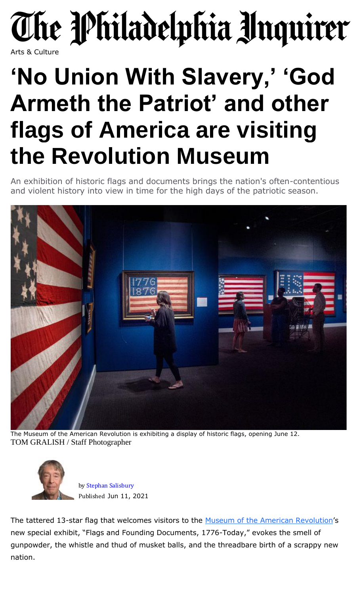## The Philadelphia Inquirer

## Arts & Culture

## **'No Union With Slavery,' 'God Armeth the Patriot' and other flags of America are visiting the Revolution Museum**

An exhibition of historic flags and documents brings the nation's often-contentious and violent history into view in time for the high days of the patriotic season.



The Museum of the American Revolution is exhibiting a display of historic flags, opening June 12. TOM GRALISH / Staff [Photographer](https://www.inquirer.com/author/salisbury_stephan/)



by Stephan [Salisbury](https://www.inquirer.com/author/salisbury_stephan/) Published Jun 11, 2021

The tattered 13-star flag that welcomes visitors to the Museum of the American [Revolution](https://www.amrevmuseum.org/)'s new special exhibit, "Flags and Founding Documents, 1776-Today," evokes the smell of gunpowder, the whistle and thud of musket balls, and the threadbare birth of a scrappy new nation.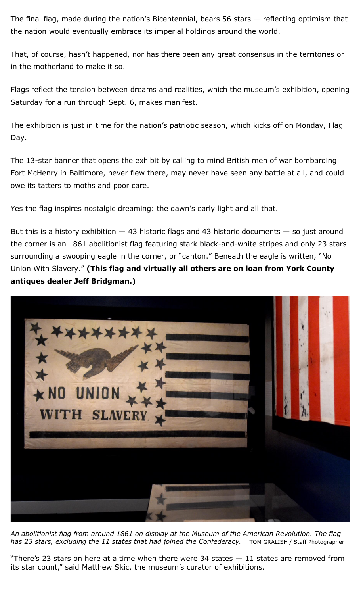The final flag, made during the nation's Bicentennial, bears 56 stars — reflecting optimism that the nation would eventually embrace its imperial holdings around the world.

That, of course, hasn't happened, nor has there been any great consensus in the territories or in the motherland to make it so.

Flags reflect the tension between dreams and realities, which the museum's exhibition, opening Saturday for a run through Sept. 6, makes manifest.

The exhibition is just in time for the nation's patriotic season, which kicks off on Monday, Flag Day.

The 13-star banner that opens the exhibit by calling to mind British men of war bombarding Fort McHenry in Baltimore, never flew there, may never have seen any battle at all, and could owe its tatters to moths and poor care.

Yes the flag inspires nostalgic dreaming: the dawn's early light and all that.

But this is a history exhibition  $-$  43 historic flags and 43 historic documents  $-$  so just around the corner is an 1861 abolitionist flag featuring stark black-and-white stripes and only 23 stars surrounding a swooping eagle in the corner, or "canton." Beneath the eagle is written, "No Union With Slavery." **(This flag and virtually all others are on loan from York County antiques dealer Jeff Bridgman.)**



*An abolitionist flag from around 1861 on display at the Museum of the American Revolution. The flag has 23 stars, excluding the 11 states that had joined the Confederacy.* TOM GRALISH / Staff Photographer

"There's 23 stars on here at a time when there were 34 states — 11 states are removed from its star count," said Matthew Skic, the museum's curator of exhibitions.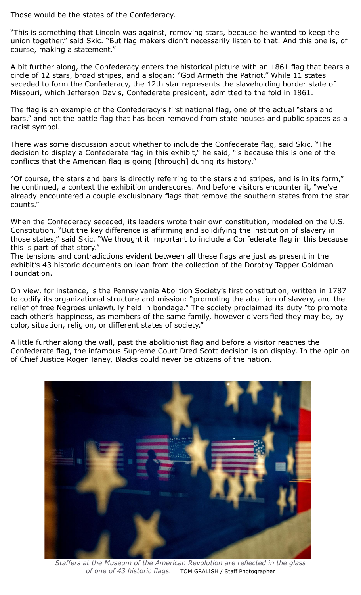Those would be the states of the Confederacy.

"This is something that Lincoln was against, removing stars, because he wanted to keep the union together," said Skic. "But flag makers didn't necessarily listen to that. And this one is, of course, making a statement."

A bit further along, the Confederacy enters the historical picture with an 1861 flag that bears a circle of 12 stars, broad stripes, and a slogan: "God Armeth the Patriot." While 11 states seceded to form the Confederacy, the 12th star represents the slaveholding border state of Missouri, which Jefferson Davis, Confederate president, admitted to the fold in 1861.

The flag is an example of the Confederacy's first national flag, one of the actual "stars and bars," and not the battle flag that has been removed from state houses and public spaces as a racist symbol.

There was some discussion about whether to include the Confederate flag, said Skic. "The decision to display a Confederate flag in this exhibit," he said, "is because this is one of the conflicts that the American flag is going [through] during its history."

"Of course, the stars and bars is directly referring to the stars and stripes, and is in its form," he continued, a context the exhibition underscores. And before visitors encounter it, "we've already encountered a couple exclusionary flags that remove the southern states from the star counts."

When the Confederacy seceded, its leaders wrote their own constitution, modeled on the U.S. Constitution. "But the key difference is affirming and solidifying the institution of slavery in those states," said Skic. "We thought it important to include a Confederate flag in this because this is part of that story."

The tensions and contradictions evident between all these flags are just as present in the exhibit's 43 historic documents on loan from the collection of the Dorothy Tapper Goldman Foundation.

On view, for instance, is the Pennsylvania Abolition Society's first constitution, written in 1787 to codify its organizational structure and mission: "promoting the abolition of slavery, and the relief of free Negroes unlawfully held in bondage." The society proclaimed its duty "to promote each other's happiness, as members of the same family, however diversified they may be, by color, situation, religion, or different states of society."

A little further along the wall, past the abolitionist flag and before a visitor reaches the Confederate flag, the infamous Supreme Court Dred Scott decision is on display. In the opinion of Chief Justice Roger Taney, Blacks could never be citizens of the nation.



*Staffers at the Museum of the American Revolution are reflected in the glass of one of 43 historic flags.* TOM GRALISH / Staff Photographer